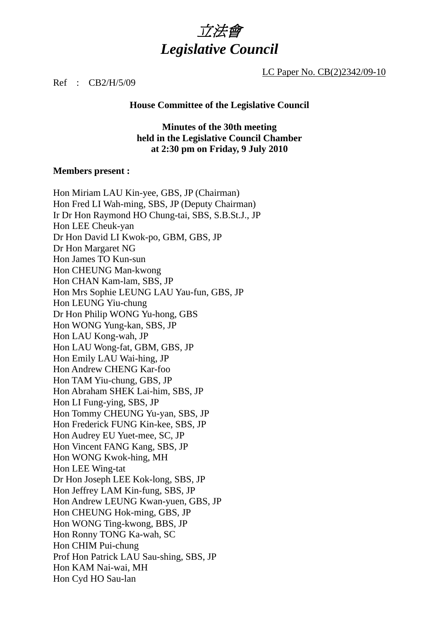

LC Paper No. CB(2)2342/09-10

#### Ref : CB2/H/5/09

#### **House Committee of the Legislative Council**

**Minutes of the 30th meeting held in the Legislative Council Chamber at 2:30 pm on Friday, 9 July 2010** 

#### **Members present :**

Hon Miriam LAU Kin-yee, GBS, JP (Chairman) Hon Fred LI Wah-ming, SBS, JP (Deputy Chairman) Ir Dr Hon Raymond HO Chung-tai, SBS, S.B.St.J., JP Hon LEE Cheuk-yan Dr Hon David LI Kwok-po, GBM, GBS, JP Dr Hon Margaret NG Hon James TO Kun-sun Hon CHEUNG Man-kwong Hon CHAN Kam-lam, SBS, JP Hon Mrs Sophie LEUNG LAU Yau-fun, GBS, JP Hon LEUNG Yiu-chung Dr Hon Philip WONG Yu-hong, GBS Hon WONG Yung-kan, SBS, JP Hon LAU Kong-wah, JP Hon LAU Wong-fat, GBM, GBS, JP Hon Emily LAU Wai-hing, JP Hon Andrew CHENG Kar-foo Hon TAM Yiu-chung, GBS, JP Hon Abraham SHEK Lai-him, SBS, JP Hon LI Fung-ying, SBS, JP Hon Tommy CHEUNG Yu-yan, SBS, JP Hon Frederick FUNG Kin-kee, SBS, JP Hon Audrey EU Yuet-mee, SC, JP Hon Vincent FANG Kang, SBS, JP Hon WONG Kwok-hing, MH Hon LEE Wing-tat Dr Hon Joseph LEE Kok-long, SBS, JP Hon Jeffrey LAM Kin-fung, SBS, JP Hon Andrew LEUNG Kwan-yuen, GBS, JP Hon CHEUNG Hok-ming, GBS, JP Hon WONG Ting-kwong, BBS, JP Hon Ronny TONG Ka-wah, SC Hon CHIM Pui-chung Prof Hon Patrick LAU Sau-shing, SBS, JP Hon KAM Nai-wai, MH Hon Cyd HO Sau-lan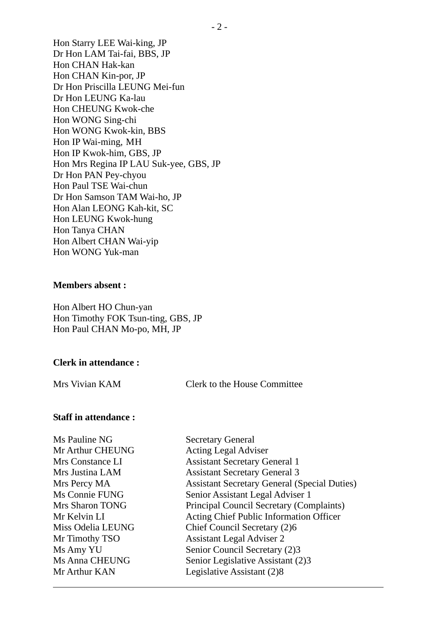Hon Starry LEE Wai-king, JP Dr Hon LAM Tai-fai, BBS, JP Hon CHAN Hak-kan Hon CHAN Kin-por, JP Dr Hon Priscilla LEUNG Mei-fun Dr Hon LEUNG Ka-lau Hon CHEUNG Kwok-che Hon WONG Sing-chi Hon WONG Kwok-kin, BBS Hon IP Wai-ming, MH Hon IP Kwok-him, GBS, JP Hon Mrs Regina IP LAU Suk-yee, GBS, JP Dr Hon PAN Pey-chyou Hon Paul TSE Wai-chun Dr Hon Samson TAM Wai-ho, JP Hon Alan LEONG Kah-kit, SC Hon LEUNG Kwok-hung Hon Tanya CHAN Hon Albert CHAN Wai-yip Hon WONG Yuk-man

#### **Members absent :**

Hon Albert HO Chun-yan Hon Timothy FOK Tsun-ting, GBS, JP Hon Paul CHAN Mo-po, MH, JP

#### **Clerk in attendance :**

Mrs Vivian KAM Clerk to the House Committee

### **Staff in attendance :**

| Ms Pauline NG          | <b>Secretary General</b>                            |
|------------------------|-----------------------------------------------------|
| Mr Arthur CHEUNG       | <b>Acting Legal Adviser</b>                         |
| Mrs Constance LI       | <b>Assistant Secretary General 1</b>                |
| Mrs Justina LAM        | <b>Assistant Secretary General 3</b>                |
| Mrs Percy MA           | <b>Assistant Secretary General (Special Duties)</b> |
| Ms Connie FUNG         | Senior Assistant Legal Adviser 1                    |
| <b>Mrs Sharon TONG</b> | Principal Council Secretary (Complaints)            |
| Mr Kelvin LI           | Acting Chief Public Information Officer             |
| Miss Odelia LEUNG      | Chief Council Secretary (2)6                        |
| Mr Timothy TSO         | <b>Assistant Legal Adviser 2</b>                    |
| Ms Amy YU              | Senior Council Secretary (2)3                       |
| <b>Ms Anna CHEUNG</b>  | Senior Legislative Assistant (2)3                   |
| Mr Arthur KAN          | Legislative Assistant (2)8                          |
|                        |                                                     |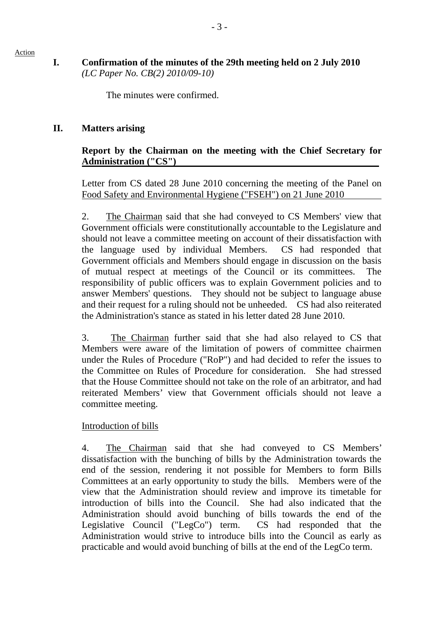## **I. Confirmation of the minutes of the 29th meeting held on 2 July 2010**  *(LC Paper No. CB(2) 2010/09-10)*

The minutes were confirmed.

## **II. Matters arising**

#### **Report by the Chairman on the meeting with the Chief Secretary for Administration ("CS")**

Letter from CS dated 28 June 2010 concerning the meeting of the Panel on Food Safety and Environmental Hygiene ("FSEH") on 21 June 2010

2. The Chairman said that she had conveyed to CS Members' view that Government officials were constitutionally accountable to the Legislature and should not leave a committee meeting on account of their dissatisfaction with the language used by individual Members. CS had responded that Government officials and Members should engage in discussion on the basis of mutual respect at meetings of the Council or its committees. The responsibility of public officers was to explain Government policies and to answer Members' questions. They should not be subject to language abuse and their request for a ruling should not be unheeded. CS had also reiterated the Administration's stance as stated in his letter dated 28 June 2010.

3. The Chairman further said that she had also relayed to CS that Members were aware of the limitation of powers of committee chairmen under the Rules of Procedure ("RoP") and had decided to refer the issues to the Committee on Rules of Procedure for consideration. She had stressed that the House Committee should not take on the role of an arbitrator, and had reiterated Members' view that Government officials should not leave a committee meeting.

#### Introduction of bills

4. The Chairman said that she had conveyed to CS Members' dissatisfaction with the bunching of bills by the Administration towards the end of the session, rendering it not possible for Members to form Bills Committees at an early opportunity to study the bills. Members were of the view that the Administration should review and improve its timetable for introduction of bills into the Council. She had also indicated that the Administration should avoid bunching of bills towards the end of the Legislative Council ("LegCo") term. CS had responded that the Administration would strive to introduce bills into the Council as early as practicable and would avoid bunching of bills at the end of the LegCo term.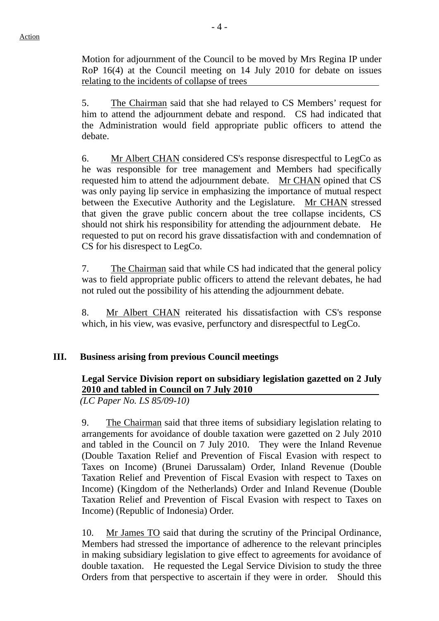Motion for adjournment of the Council to be moved by Mrs Regina IP under RoP 16(4) at the Council meeting on 14 July 2010 for debate on issues relating to the incidents of collapse of trees

5. The Chairman said that she had relayed to CS Members' request for him to attend the adjournment debate and respond. CS had indicated that the Administration would field appropriate public officers to attend the debate.

6. Mr Albert CHAN considered CS's response disrespectful to LegCo as he was responsible for tree management and Members had specifically requested him to attend the adjournment debate. Mr CHAN opined that CS was only paying lip service in emphasizing the importance of mutual respect between the Executive Authority and the Legislature. Mr CHAN stressed that given the grave public concern about the tree collapse incidents, CS should not shirk his responsibility for attending the adjournment debate. He requested to put on record his grave dissatisfaction with and condemnation of CS for his disrespect to LegCo.

7. The Chairman said that while CS had indicated that the general policy was to field appropriate public officers to attend the relevant debates, he had not ruled out the possibility of his attending the adjournment debate.

8. Mr Albert CHAN reiterated his dissatisfaction with CS's response which, in his view, was evasive, perfunctory and disrespectful to LegCo.

# **III. Business arising from previous Council meetings**

# **Legal Service Division report on subsidiary legislation gazetted on 2 July 2010 and tabled in Council on 7 July 2010**

*(LC Paper No. LS 85/09-10)* 

9. The Chairman said that three items of subsidiary legislation relating to arrangements for avoidance of double taxation were gazetted on 2 July 2010 and tabled in the Council on 7 July 2010. They were the Inland Revenue (Double Taxation Relief and Prevention of Fiscal Evasion with respect to Taxes on Income) (Brunei Darussalam) Order, Inland Revenue (Double Taxation Relief and Prevention of Fiscal Evasion with respect to Taxes on Income) (Kingdom of the Netherlands) Order and Inland Revenue (Double Taxation Relief and Prevention of Fiscal Evasion with respect to Taxes on Income) (Republic of Indonesia) Order.

10. Mr James TO said that during the scrutiny of the Principal Ordinance, Members had stressed the importance of adherence to the relevant principles in making subsidiary legislation to give effect to agreements for avoidance of double taxation. He requested the Legal Service Division to study the three Orders from that perspective to ascertain if they were in order. Should this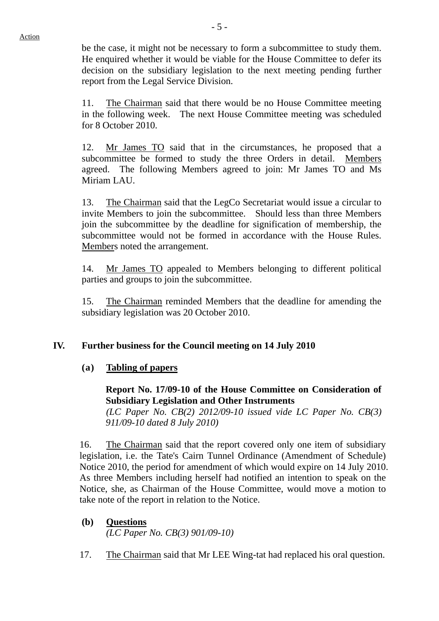be the case, it might not be necessary to form a subcommittee to study them. He enquired whether it would be viable for the House Committee to defer its decision on the subsidiary legislation to the next meeting pending further report from the Legal Service Division.

11. The Chairman said that there would be no House Committee meeting in the following week. The next House Committee meeting was scheduled for 8 October 2010.

12. Mr James TO said that in the circumstances, he proposed that a subcommittee be formed to study the three Orders in detail. Members agreed. The following Members agreed to join: Mr James TO and Ms Miriam LAU.

13. The Chairman said that the LegCo Secretariat would issue a circular to invite Members to join the subcommittee. Should less than three Members join the subcommittee by the deadline for signification of membership, the subcommittee would not be formed in accordance with the House Rules. Members noted the arrangement.

14. Mr James TO appealed to Members belonging to different political parties and groups to join the subcommittee.

15. The Chairman reminded Members that the deadline for amending the subsidiary legislation was 20 October 2010.

#### **IV. Further business for the Council meeting on 14 July 2010**

#### **(a) Tabling of papers**

**Report No. 17/09-10 of the House Committee on Consideration of Subsidiary Legislation and Other Instruments** 

*(LC Paper No. CB(2) 2012/09-10 issued vide LC Paper No. CB(3) 911/09-10 dated 8 July 2010)* 

16. The Chairman said that the report covered only one item of subsidiary legislation, i.e. the Tate's Cairn Tunnel Ordinance (Amendment of Schedule) Notice 2010, the period for amendment of which would expire on 14 July 2010. As three Members including herself had notified an intention to speak on the Notice, she, as Chairman of the House Committee, would move a motion to take note of the report in relation to the Notice.

#### **(b) Questions**

*(LC Paper No. CB(3) 901/09-10)* 

17. The Chairman said that Mr LEE Wing-tat had replaced his oral question.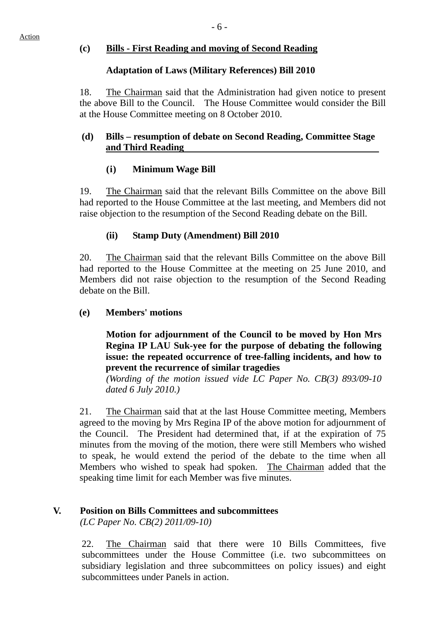# **(c) Bills - First Reading and moving of Second Reading**

## **Adaptation of Laws (Military References) Bill 2010**

18. The Chairman said that the Administration had given notice to present the above Bill to the Council. The House Committee would consider the Bill at the House Committee meeting on 8 October 2010.

## **(d) Bills – resumption of debate on Second Reading, Committee Stage and Third Reading**

# **(i) Minimum Wage Bill**

19. The Chairman said that the relevant Bills Committee on the above Bill had reported to the House Committee at the last meeting, and Members did not raise objection to the resumption of the Second Reading debate on the Bill.

# **(ii) Stamp Duty (Amendment) Bill 2010**

20. The Chairman said that the relevant Bills Committee on the above Bill had reported to the House Committee at the meeting on 25 June 2010, and Members did not raise objection to the resumption of the Second Reading debate on the Bill.

# **(e) Members' motions**

**Motion for adjournment of the Council to be moved by Hon Mrs Regina IP LAU Suk-yee for the purpose of debating the following issue: the repeated occurrence of tree-falling incidents, and how to prevent the recurrence of similar tragedies** 

 *(Wording of the motion issued vide LC Paper No. CB(3) 893/09-10 dated 6 July 2010.)* 

21. The Chairman said that at the last House Committee meeting, Members agreed to the moving by Mrs Regina IP of the above motion for adjournment of the Council. The President had determined that, if at the expiration of 75 minutes from the moving of the motion, there were still Members who wished to speak, he would extend the period of the debate to the time when all Members who wished to speak had spoken. The Chairman added that the speaking time limit for each Member was five minutes.

# **V. Position on Bills Committees and subcommittees**

*(LC Paper No. CB(2) 2011/09-10)* 

22. The Chairman said that there were 10 Bills Committees, five subcommittees under the House Committee (i.e. two subcommittees on subsidiary legislation and three subcommittees on policy issues) and eight subcommittees under Panels in action.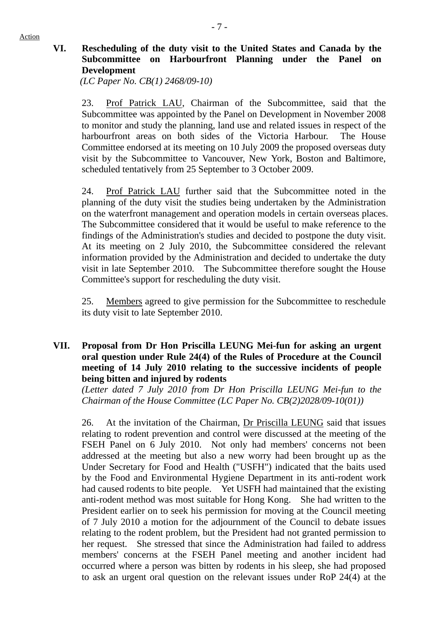## **VI. Rescheduling of the duty visit to the United States and Canada by the Subcommittee on Harbourfront Planning under the Panel on Development**

*(LC Paper No. CB(1) 2468/09-10)* 

23. Prof Patrick LAU, Chairman of the Subcommittee, said that the Subcommittee was appointed by the Panel on Development in November 2008 to monitor and study the planning, land use and related issues in respect of the harbourfront areas on both sides of the Victoria Harbour. The House Committee endorsed at its meeting on 10 July 2009 the proposed overseas duty visit by the Subcommittee to Vancouver, New York, Boston and Baltimore, scheduled tentatively from 25 September to 3 October 2009.

24. Prof Patrick LAU further said that the Subcommittee noted in the planning of the duty visit the studies being undertaken by the Administration on the waterfront management and operation models in certain overseas places. The Subcommittee considered that it would be useful to make reference to the findings of the Administration's studies and decided to postpone the duty visit. At its meeting on 2 July 2010, the Subcommittee considered the relevant information provided by the Administration and decided to undertake the duty visit in late September 2010. The Subcommittee therefore sought the House Committee's support for rescheduling the duty visit.

25. Members agreed to give permission for the Subcommittee to reschedule its duty visit to late September 2010.

#### **VII. Proposal from Dr Hon Priscilla LEUNG Mei-fun for asking an urgent oral question under Rule 24(4) of the Rules of Procedure at the Council meeting of 14 July 2010 relating to the successive incidents of people being bitten and injured by rodents**

 *(Letter dated 7 July 2010 from Dr Hon Priscilla LEUNG Mei-fun to the Chairman of the House Committee (LC Paper No. CB(2)2028/09-10(01))* 

26. At the invitation of the Chairman, Dr Priscilla LEUNG said that issues relating to rodent prevention and control were discussed at the meeting of the FSEH Panel on 6 July 2010. Not only had members' concerns not been addressed at the meeting but also a new worry had been brought up as the Under Secretary for Food and Health ("USFH") indicated that the baits used by the Food and Environmental Hygiene Department in its anti-rodent work had caused rodents to bite people. Yet USFH had maintained that the existing anti-rodent method was most suitable for Hong Kong. She had written to the President earlier on to seek his permission for moving at the Council meeting of 7 July 2010 a motion for the adjournment of the Council to debate issues relating to the rodent problem, but the President had not granted permission to her request. She stressed that since the Administration had failed to address members' concerns at the FSEH Panel meeting and another incident had occurred where a person was bitten by rodents in his sleep, she had proposed to ask an urgent oral question on the relevant issues under RoP 24(4) at the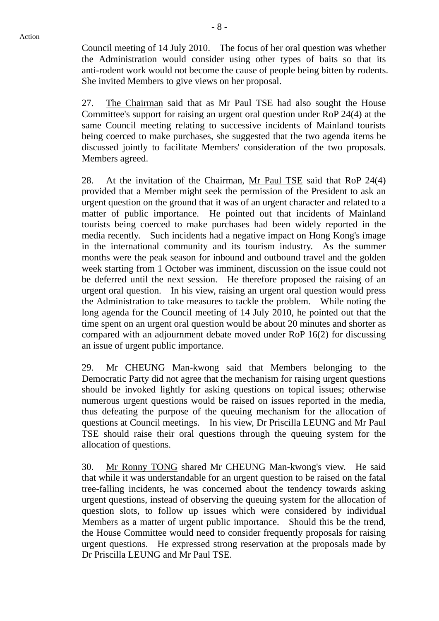Council meeting of 14 July 2010. The focus of her oral question was whether the Administration would consider using other types of baits so that its anti-rodent work would not become the cause of people being bitten by rodents. She invited Members to give views on her proposal.

27. The Chairman said that as Mr Paul TSE had also sought the House Committee's support for raising an urgent oral question under RoP 24(4) at the same Council meeting relating to successive incidents of Mainland tourists being coerced to make purchases, she suggested that the two agenda items be discussed jointly to facilitate Members' consideration of the two proposals. Members agreed.

28. At the invitation of the Chairman, Mr Paul TSE said that RoP 24(4) provided that a Member might seek the permission of the President to ask an urgent question on the ground that it was of an urgent character and related to a matter of public importance. He pointed out that incidents of Mainland tourists being coerced to make purchases had been widely reported in the media recently. Such incidents had a negative impact on Hong Kong's image in the international community and its tourism industry. As the summer months were the peak season for inbound and outbound travel and the golden week starting from 1 October was imminent, discussion on the issue could not be deferred until the next session. He therefore proposed the raising of an urgent oral question. In his view, raising an urgent oral question would press the Administration to take measures to tackle the problem. While noting the long agenda for the Council meeting of 14 July 2010, he pointed out that the time spent on an urgent oral question would be about 20 minutes and shorter as compared with an adjournment debate moved under RoP 16(2) for discussing an issue of urgent public importance.

29. Mr CHEUNG Man-kwong said that Members belonging to the Democratic Party did not agree that the mechanism for raising urgent questions should be invoked lightly for asking questions on topical issues; otherwise numerous urgent questions would be raised on issues reported in the media, thus defeating the purpose of the queuing mechanism for the allocation of questions at Council meetings. In his view, Dr Priscilla LEUNG and Mr Paul TSE should raise their oral questions through the queuing system for the allocation of questions.

30. Mr Ronny TONG shared Mr CHEUNG Man-kwong's view. He said that while it was understandable for an urgent question to be raised on the fatal tree-falling incidents, he was concerned about the tendency towards asking urgent questions, instead of observing the queuing system for the allocation of question slots, to follow up issues which were considered by individual Members as a matter of urgent public importance. Should this be the trend, the House Committee would need to consider frequently proposals for raising urgent questions. He expressed strong reservation at the proposals made by Dr Priscilla LEUNG and Mr Paul TSE.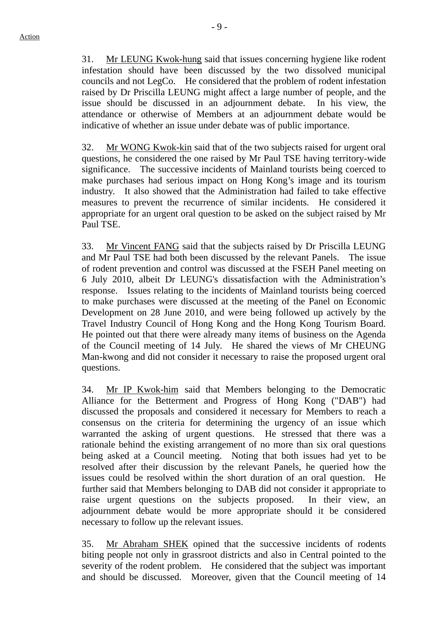31. Mr LEUNG Kwok-hung said that issues concerning hygiene like rodent infestation should have been discussed by the two dissolved municipal councils and not LegCo. He considered that the problem of rodent infestation raised by Dr Priscilla LEUNG might affect a large number of people, and the issue should be discussed in an adjournment debate. In his view, the attendance or otherwise of Members at an adjournment debate would be indicative of whether an issue under debate was of public importance.

32. Mr WONG Kwok-kin said that of the two subjects raised for urgent oral questions, he considered the one raised by Mr Paul TSE having territory-wide significance. The successive incidents of Mainland tourists being coerced to make purchases had serious impact on Hong Kong's image and its tourism industry. It also showed that the Administration had failed to take effective measures to prevent the recurrence of similar incidents. He considered it appropriate for an urgent oral question to be asked on the subject raised by Mr Paul TSE.

33. Mr Vincent FANG said that the subjects raised by Dr Priscilla LEUNG and Mr Paul TSE had both been discussed by the relevant Panels. The issue of rodent prevention and control was discussed at the FSEH Panel meeting on 6 July 2010, albeit Dr LEUNG's dissatisfaction with the Administration's response. Issues relating to the incidents of Mainland tourists being coerced to make purchases were discussed at the meeting of the Panel on Economic Development on 28 June 2010, and were being followed up actively by the Travel Industry Council of Hong Kong and the Hong Kong Tourism Board. He pointed out that there were already many items of business on the Agenda of the Council meeting of 14 July. He shared the views of Mr CHEUNG Man-kwong and did not consider it necessary to raise the proposed urgent oral questions.

34. Mr IP Kwok-him said that Members belonging to the Democratic Alliance for the Betterment and Progress of Hong Kong ("DAB") had discussed the proposals and considered it necessary for Members to reach a consensus on the criteria for determining the urgency of an issue which warranted the asking of urgent questions. He stressed that there was a rationale behind the existing arrangement of no more than six oral questions being asked at a Council meeting. Noting that both issues had yet to be resolved after their discussion by the relevant Panels, he queried how the issues could be resolved within the short duration of an oral question. He further said that Members belonging to DAB did not consider it appropriate to raise urgent questions on the subjects proposed. In their view, an adjournment debate would be more appropriate should it be considered necessary to follow up the relevant issues.

35. Mr Abraham SHEK opined that the successive incidents of rodents biting people not only in grassroot districts and also in Central pointed to the severity of the rodent problem. He considered that the subject was important and should be discussed. Moreover, given that the Council meeting of 14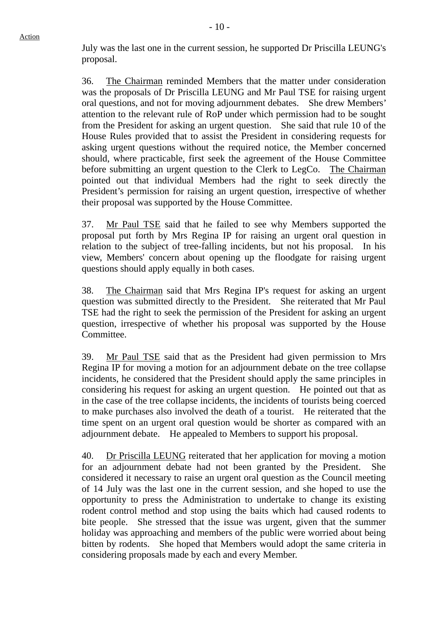July was the last one in the current session, he supported Dr Priscilla LEUNG's proposal.

36. The Chairman reminded Members that the matter under consideration was the proposals of Dr Priscilla LEUNG and Mr Paul TSE for raising urgent oral questions, and not for moving adjournment debates. She drew Members' attention to the relevant rule of RoP under which permission had to be sought from the President for asking an urgent question. She said that rule 10 of the House Rules provided that to assist the President in considering requests for asking urgent questions without the required notice, the Member concerned should, where practicable, first seek the agreement of the House Committee before submitting an urgent question to the Clerk to LegCo. The Chairman pointed out that individual Members had the right to seek directly the President's permission for raising an urgent question, irrespective of whether their proposal was supported by the House Committee.

37. Mr Paul TSE said that he failed to see why Members supported the proposal put forth by Mrs Regina IP for raising an urgent oral question in relation to the subject of tree-falling incidents, but not his proposal. In his view, Members' concern about opening up the floodgate for raising urgent questions should apply equally in both cases.

38. The Chairman said that Mrs Regina IP's request for asking an urgent question was submitted directly to the President. She reiterated that Mr Paul TSE had the right to seek the permission of the President for asking an urgent question, irrespective of whether his proposal was supported by the House Committee.

39. Mr Paul TSE said that as the President had given permission to Mrs Regina IP for moving a motion for an adjournment debate on the tree collapse incidents, he considered that the President should apply the same principles in considering his request for asking an urgent question. He pointed out that as in the case of the tree collapse incidents, the incidents of tourists being coerced to make purchases also involved the death of a tourist. He reiterated that the time spent on an urgent oral question would be shorter as compared with an adjournment debate. He appealed to Members to support his proposal.

40. Dr Priscilla LEUNG reiterated that her application for moving a motion for an adjournment debate had not been granted by the President. She considered it necessary to raise an urgent oral question as the Council meeting of 14 July was the last one in the current session, and she hoped to use the opportunity to press the Administration to undertake to change its existing rodent control method and stop using the baits which had caused rodents to bite people. She stressed that the issue was urgent, given that the summer holiday was approaching and members of the public were worried about being bitten by rodents. She hoped that Members would adopt the same criteria in considering proposals made by each and every Member.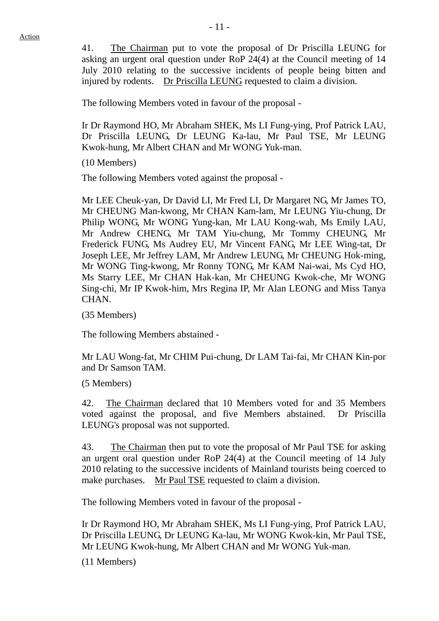41. The Chairman put to vote the proposal of Dr Priscilla LEUNG for asking an urgent oral question under RoP 24(4) at the Council meeting of 14 July 2010 relating to the successive incidents of people being bitten and injured by rodents. Dr Priscilla LEUNG requested to claim a division.

The following Members voted in favour of the proposal -

Ir Dr Raymond HO, Mr Abraham SHEK, Ms LI Fung-ying, Prof Patrick LAU, Dr Priscilla LEUNG, Dr LEUNG Ka-lau, Mr Paul TSE, Mr LEUNG Kwok-hung, Mr Albert CHAN and Mr WONG Yuk-man.

(10 Members)

The following Members voted against the proposal -

Mr LEE Cheuk-yan, Dr David LI, Mr Fred LI, Dr Margaret NG, Mr James TO, Mr CHEUNG Man-kwong, Mr CHAN Kam-lam, Mr LEUNG Yiu-chung, Dr Philip WONG, Mr WONG Yung-kan, Mr LAU Kong-wah, Ms Emily LAU, Mr Andrew CHENG, Mr TAM Yiu-chung, Mr Tommy CHEUNG, Mr Frederick FUNG, Ms Audrey EU, Mr Vincent FANG, Mr LEE Wing-tat, Dr Joseph LEE, Mr Jeffrey LAM, Mr Andrew LEUNG, Mr CHEUNG Hok-ming, Mr WONG Ting-kwong, Mr Ronny TONG, Mr KAM Nai-wai, Ms Cyd HO, Ms Starry LEE, Mr CHAN Hak-kan, Mr CHEUNG Kwok-che, Mr WONG Sing-chi, Mr IP Kwok-him, Mrs Regina IP, Mr Alan LEONG and Miss Tanya CHAN.

(35 Members)

The following Members abstained -

Mr LAU Wong-fat, Mr CHIM Pui-chung, Dr LAM Tai-fai, Mr CHAN Kin-por and Dr Samson TAM.

(5 Members)

42. The Chairman declared that 10 Members voted for and 35 Members voted against the proposal, and five Members abstained. Dr Priscilla LEUNG's proposal was not supported.

43. The Chairman then put to vote the proposal of Mr Paul TSE for asking an urgent oral question under RoP 24(4) at the Council meeting of 14 July 2010 relating to the successive incidents of Mainland tourists being coerced to make purchases. Mr Paul TSE requested to claim a division.

The following Members voted in favour of the proposal -

Ir Dr Raymond HO, Mr Abraham SHEK, Ms LI Fung-ying, Prof Patrick LAU, Dr Priscilla LEUNG, Dr LEUNG Ka-lau, Mr WONG Kwok-kin, Mr Paul TSE, Mr LEUNG Kwok-hung, Mr Albert CHAN and Mr WONG Yuk-man.

(11 Members)